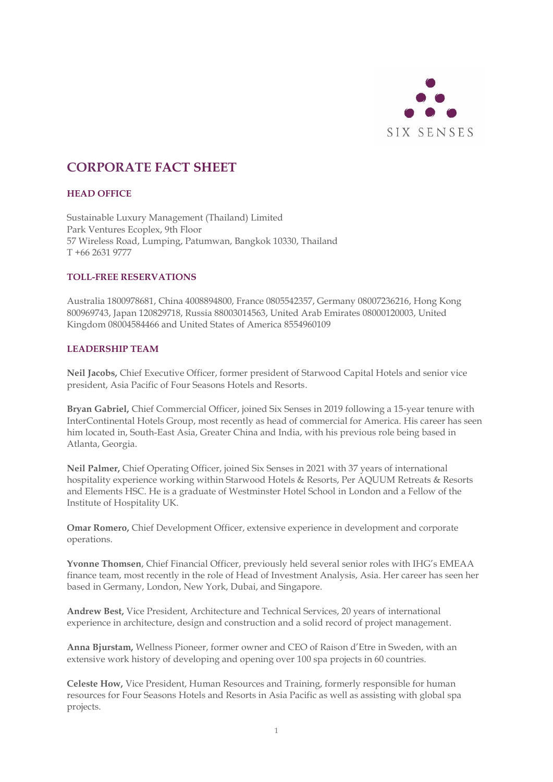

# **CORPORATE FACT SHEET**

# **HEAD OFFICE**

Sustainable Luxury Management (Thailand) Limited Park Ventures Ecoplex, 9th Floor 57 Wireless Road, Lumping, Patumwan, Bangkok 10330, Thailand T +66 2631 9777

# **TOLL-FREE RESERVATIONS**

Australia 1800978681, China 4008894800, France 0805542357, Germany 08007236216, Hong Kong 800969743, Japan 120829718, Russia 88003014563, United Arab Emirates 08000120003, United Kingdom 08004584466 and United States of America 8554960109

# **LEADERSHIP TEAM**

**Neil Jacobs,** Chief Executive Officer, former president of Starwood Capital Hotels and senior vice president, Asia Pacific of Four Seasons Hotels and Resorts.

**Bryan Gabriel,** Chief Commercial Officer, joined Six Senses in 2019 following a 15-year tenure with InterContinental Hotels Group, most recently as head of commercial for America. His career has seen him located in, South-East Asia, Greater China and India, with his previous role being based in Atlanta, Georgia.

**Neil Palmer,** Chief Operating Officer, joined Six Senses in 2021 with 37 years of international hospitality experience working within Starwood Hotels & Resorts, Per AQUUM Retreats & Resorts and Elements HSC. He is a graduate of Westminster Hotel School in London and a Fellow of the Institute of Hospitality UK.

**Omar Romero,** Chief Development Officer, extensive experience in development and corporate operations.

**Yvonne Thomsen**, Chief Financial Officer, previously held several senior roles with IHG's EMEAA finance team, most recently in the role of Head of Investment Analysis, Asia. Her career has seen her based in Germany, London, New York, Dubai, and Singapore.

**Andrew Best,** Vice President, Architecture and Technical Services, 20 years of international experience in architecture, design and construction and a solid record of project management.

**Anna Bjurstam,** Wellness Pioneer, former owner and CEO of Raison d'Etre in Sweden, with an extensive work history of developing and opening over 100 spa projects in 60 countries.

**Celeste How,** Vice President, Human Resources and Training, formerly responsible for human resources for Four Seasons Hotels and Resorts in Asia Pacific as well as assisting with global spa projects.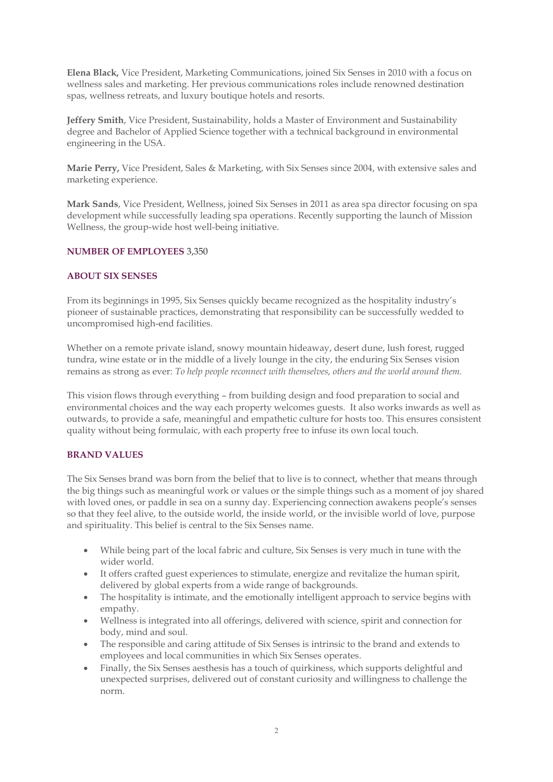**Elena Black,** Vice President, Marketing Communications, joined Six Senses in 2010 with a focus on wellness sales and marketing. Her previous communications roles include renowned destination spas, wellness retreats, and luxury boutique hotels and resorts.

**Jeffery Smith**, Vice President, Sustainability, holds a Master of Environment and Sustainability degree and Bachelor of Applied Science together with a technical background in environmental engineering in the USA.

**Marie Perry,** Vice President, Sales & Marketing, with Six Senses since 2004, with extensive sales and marketing experience.

**Mark Sands**, Vice President, Wellness, joined Six Senses in 2011 as area spa director focusing on spa development while successfully leading spa operations. Recently supporting the launch of Mission Wellness, the group-wide host well-being initiative.

## **NUMBER OF EMPLOYEES** 3,350

## **ABOUT SIX SENSES**

From its beginnings in 1995, Six Senses quickly became recognized as the hospitality industry's pioneer of sustainable practices, demonstrating that responsibility can be successfully wedded to uncompromised high-end facilities.

Whether on a remote private island, snowy mountain hideaway, desert dune, lush forest, rugged tundra, wine estate or in the middle of a lively lounge in the city, the enduring Six Senses vision remains as strong as ever: *To help people reconnect with themselves, others and the world around them.*

This vision flows through everything – from building design and food preparation to social and environmental choices and the way each property welcomes guests. It also works inwards as well as outwards, to provide a safe, meaningful and empathetic culture for hosts too. This ensures consistent quality without being formulaic, with each property free to infuse its own local touch.

#### **BRAND VALUES**

The Six Senses brand was born from the belief that to live is to connect, whether that means through the big things such as meaningful work or values or the simple things such as a moment of joy shared with loved ones, or paddle in sea on a sunny day. Experiencing connection awakens people's senses so that they feel alive, to the outside world, the inside world, or the invisible world of love, purpose and spirituality. This belief is central to the Six Senses name.

- While being part of the local fabric and culture, Six Senses is very much in tune with the wider world.
- It offers crafted guest experiences to stimulate, energize and revitalize the human spirit, delivered by global experts from a wide range of backgrounds.
- The hospitality is intimate, and the emotionally intelligent approach to service begins with empathy.
- Wellness is integrated into all offerings, delivered with science, spirit and connection for body, mind and soul.
- The responsible and caring attitude of Six Senses is intrinsic to the brand and extends to employees and local communities in which Six Senses operates.
- Finally, the Six Senses aesthesis has a touch of quirkiness, which supports delightful and unexpected surprises, delivered out of constant curiosity and willingness to challenge the norm.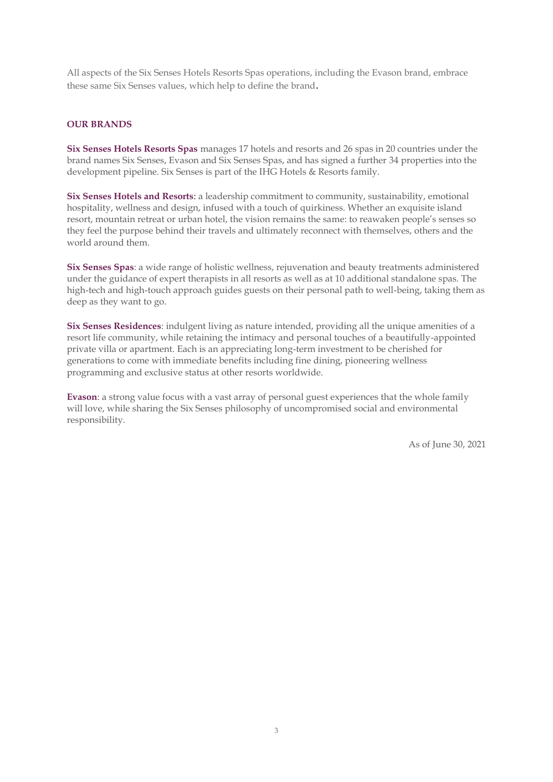All aspects of the Six Senses Hotels Resorts Spas operations, including the Evason brand, embrace these same Six Senses values, which help to define the brand.

## **OUR BRANDS**

**Six Senses Hotels Resorts Spas** manages 17 hotels and resorts and 26 spas in 20 countries under the brand names Six Senses, Evason and Six Senses Spas, and has signed a further 34 properties into the development pipeline. Six Senses is part of the IHG Hotels & Resorts family.

**Six Senses Hotels and Resorts**: a leadership commitment to community, sustainability, emotional hospitality, wellness and design, infused with a touch of quirkiness. Whether an exquisite island resort, mountain retreat or urban hotel, the vision remains the same: to reawaken people's senses so they feel the purpose behind their travels and ultimately reconnect with themselves, others and the world around them.

**Six Senses Spas**: a wide range of holistic wellness, rejuvenation and beauty treatments administered under the guidance of expert therapists in all resorts as well as at 10 additional standalone spas. The high-tech and high-touch approach guides guests on their personal path to well-being, taking them as deep as they want to go.

**Six Senses Residences**: indulgent living as nature intended, providing all the unique amenities of a resort life community, while retaining the intimacy and personal touches of a beautifully-appointed private villa or apartment. Each is an appreciating long-term investment to be cherished for generations to come with immediate benefits including fine dining, pioneering wellness programming and exclusive status at other resorts worldwide.

**Evason**: a strong value focus with a vast array of personal guest experiences that the whole family will love, while sharing the Six Senses philosophy of uncompromised social and environmental responsibility.

As of June 30, 2021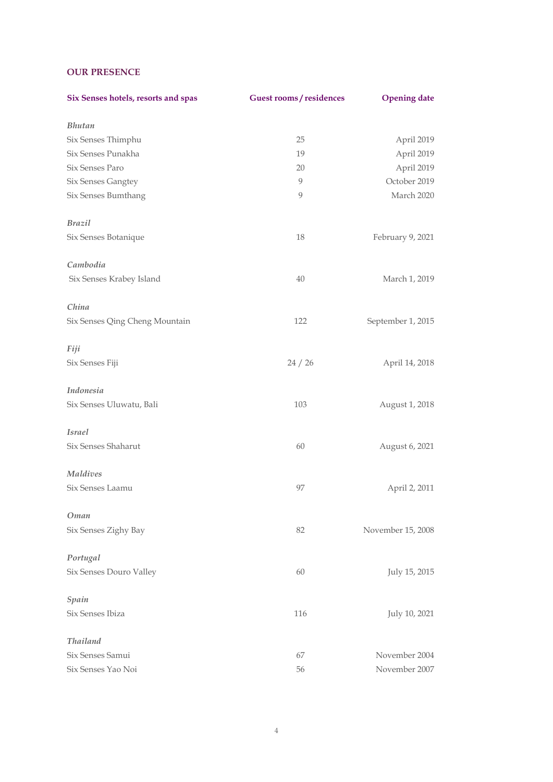# **OUR PRESENCE**

| Six Senses hotels, resorts and spas | <b>Guest rooms/residences</b> | <b>Opening date</b> |
|-------------------------------------|-------------------------------|---------------------|
| <b>Bhutan</b>                       |                               |                     |
| Six Senses Thimphu                  | 25                            | April 2019          |
| Six Senses Punakha                  | 19                            | April 2019          |
| Six Senses Paro                     | 20                            | April 2019          |
| Six Senses Gangtey                  | 9                             | October 2019        |
| Six Senses Bumthang                 | 9                             | March 2020          |
| <b>Brazil</b>                       |                               |                     |
| Six Senses Botanique                | 18                            | February 9, 2021    |
| Cambodia                            |                               |                     |
| Six Senses Krabey Island            | 40                            | March 1, 2019       |
| China                               |                               |                     |
| Six Senses Qing Cheng Mountain      | 122                           | September 1, 2015   |
| Fiji                                |                               |                     |
| Six Senses Fiji                     | 24 / 26                       | April 14, 2018      |
| Indonesia                           |                               |                     |
| Six Senses Uluwatu, Bali            | 103                           | August 1, 2018      |
| <b>Israel</b>                       |                               |                     |
| Six Senses Shaharut                 | 60                            | August 6, 2021      |
| Maldives                            |                               |                     |
| Six Senses Laamu                    | 97                            | April 2, 2011       |
| Oman                                |                               |                     |
| Six Senses Zighy Bay                | 82                            | November 15, 2008   |
| Portugal                            |                               |                     |
| Six Senses Douro Valley             | 60                            | July 15, 2015       |
| Spain                               |                               |                     |
| Six Senses Ibiza                    | 116                           | July 10, 2021       |
| <b>Thailand</b>                     |                               |                     |
| Six Senses Samui                    | 67                            | November 2004       |
| Six Senses Yao Noi                  | 56                            | November 2007       |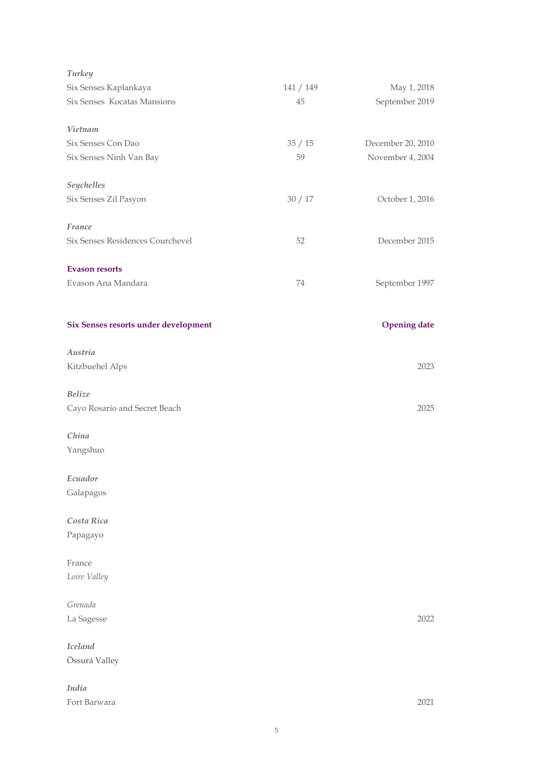| Turkey                               |           |                     |
|--------------------------------------|-----------|---------------------|
| Six Senses Kaplankaya                | 141 / 149 | May 1, 2018         |
| Six Senses Kocatas Mansions          | 45        | September 2019      |
| Vietnam                              |           |                     |
| Six Senses Con Dao                   | 35/15     | December 20, 2010   |
| Six Senses Ninh Van Bay              | 59        | November 4, 2004    |
| Seychelles                           |           |                     |
| Six Senses Zil Pasyon                | 30/17     | October 1, 2016     |
| France                               |           |                     |
| Six Senses Residences Courchevel     | 52        | December 2015       |
| <b>Evason resorts</b>                |           |                     |
| Evason Ana Mandara                   | 74        | September 1997      |
| Six Senses resorts under development |           | <b>Opening date</b> |
| Austria                              |           |                     |
| Kitzbuehel Alps                      |           | 2023                |
| <b>Belize</b>                        |           |                     |
| Cayo Rosario and Secret Beach        |           | 2025                |
| China                                |           |                     |
| Yangshuo                             |           |                     |
| Ecuador                              |           |                     |
| Galapagos                            |           |                     |
| Costa Rica                           |           |                     |
| Papagayo                             |           |                     |
| France                               |           |                     |
| Loire Valley                         |           |                     |
| Grenada                              |           |                     |
| La Sagesse                           |           | 2022                |
| <b>Iceland</b>                       |           |                     |
| Össurá Valley                        |           |                     |
| India                                |           |                     |
| Fort Barwara                         |           | 2021                |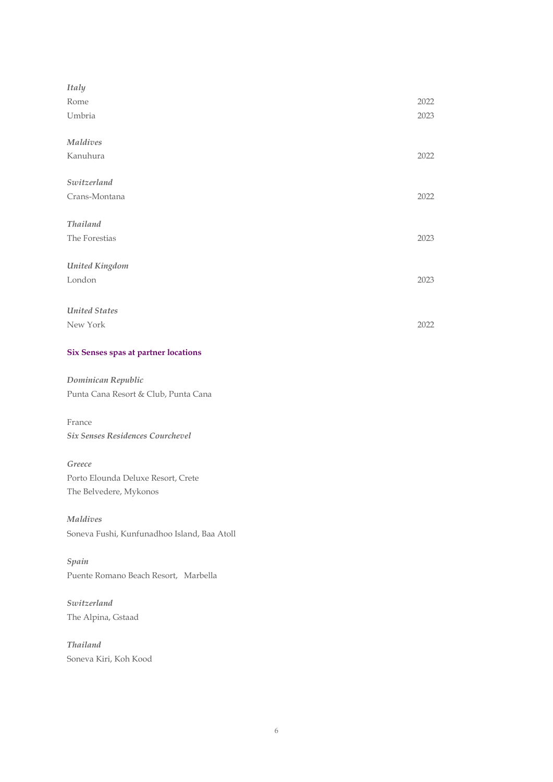| <b>Italy</b>         |      |
|----------------------|------|
| Rome                 | 2022 |
| Umbria               | 2023 |
| Maldives             |      |
| Kanuhura             | 2022 |
| Switzerland          |      |
| Crans-Montana        | 2022 |
| <b>Thailand</b>      |      |
| The Forestias        | 2023 |
| United Kingdom       |      |
| London               | 2023 |
|                      |      |
| <b>United States</b> |      |
| New York             | 2022 |

## **Six Senses spas at partner locations**

*Dominican Republic* Punta Cana Resort & Club, Punta Cana

France *Six Senses Residences Courchevel*

# *Greece*

Porto Elounda Deluxe Resort, Crete The Belvedere, Mykonos

*Maldives* Soneva Fushi, Kunfunadhoo Island, Baa Atoll

*Spain* Puente Romano Beach Resort, Marbella

*Switzerland* The Alpina, Gstaad

*Thailand* Soneva Kiri, Koh Kood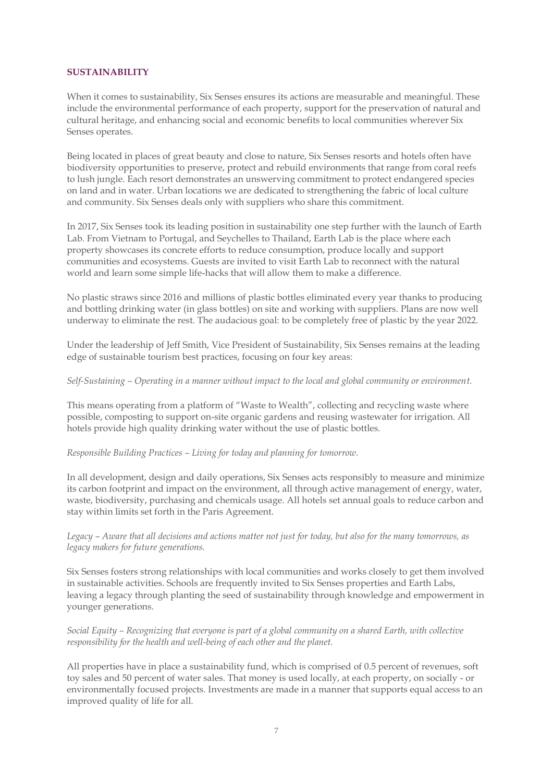## **SUSTAINABILITY**

When it comes to sustainability, Six Senses ensures its actions are measurable and meaningful. These include the environmental performance of each property, support for the preservation of natural and cultural heritage, and enhancing social and economic benefits to local communities wherever Six Senses operates.

Being located in places of great beauty and close to nature, Six Senses resorts and hotels often have biodiversity opportunities to preserve, protect and rebuild environments that range from coral reefs to lush jungle. Each resort demonstrates an unswerving commitment to protect endangered species on land and in water. Urban locations we are dedicated to strengthening the fabric of local culture and community. Six Senses deals only with suppliers who share this commitment.

In 2017, Six Senses took its leading position in sustainability one step further with the launch of Earth Lab. From Vietnam to Portugal, and Seychelles to Thailand, Earth Lab is the place where each property showcases its concrete efforts to reduce consumption, produce locally and support communities and ecosystems. Guests are invited to visit Earth Lab to reconnect with the natural world and learn some simple life-hacks that will allow them to make a difference.

No plastic straws since 2016 and millions of plastic bottles eliminated every year thanks to producing and bottling drinking water (in glass bottles) on site and working with suppliers. Plans are now well underway to eliminate the rest. The audacious goal: to be completely free of plastic by the year 2022.

Under the leadership of Jeff Smith, Vice President of Sustainability, Six Senses remains at the leading edge of sustainable tourism best practices, focusing on four key areas:

### *Self-Sustaining – Operating in a manner without impact to the local and global community or environment.*

This means operating from a platform of "Waste to Wealth", collecting and recycling waste where possible, composting to support on-site organic gardens and reusing wastewater for irrigation. All hotels provide high quality drinking water without the use of plastic bottles.

# *Responsible Building Practices – Living for today and planning for tomorrow.*

In all development, design and daily operations, Six Senses acts responsibly to measure and minimize its carbon footprint and impact on the environment, all through active management of energy, water, waste, biodiversity, purchasing and chemicals usage. All hotels set annual goals to reduce carbon and stay within limits set forth in the Paris Agreement.

# *Legacy – Aware that all decisions and actions matter not just for today, but also for the many tomorrows, as legacy makers for future generations.*

Six Senses fosters strong relationships with local communities and works closely to get them involved in sustainable activities. Schools are frequently invited to Six Senses properties and Earth Labs, leaving a legacy through planting the seed of sustainability through knowledge and empowerment in younger generations.

## *Social Equity – Recognizing that everyone is part of a global community on a shared Earth, with collective responsibility for the health and well-being of each other and the planet.*

All properties have in place a sustainability fund, which is comprised of 0.5 percent of revenues, soft toy sales and 50 percent of water sales. That money is used locally, at each property, on socially - or environmentally focused projects. Investments are made in a manner that supports equal access to an improved quality of life for all.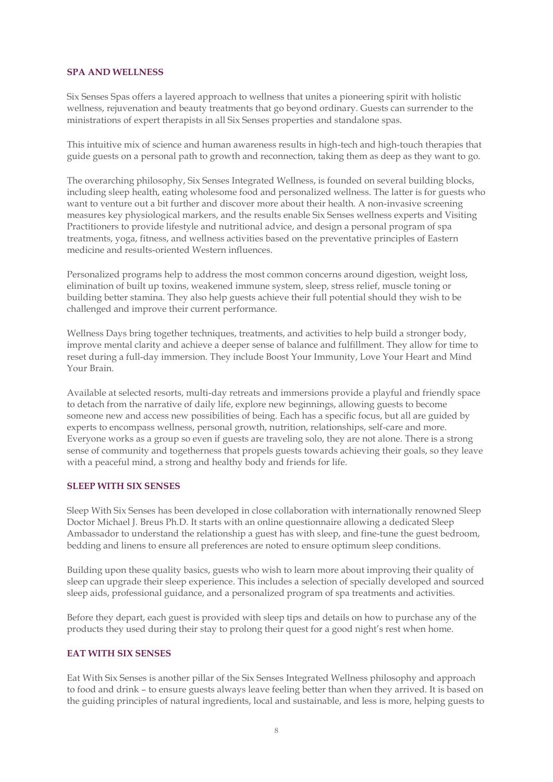#### **SPA AND WELLNESS**

Six Senses Spas offers a layered approach to wellness that unites a pioneering spirit with holistic wellness, rejuvenation and beauty treatments that go beyond ordinary. Guests can surrender to the ministrations of expert therapists in all Six Senses properties and standalone spas.

This intuitive mix of science and human awareness results in high-tech and high-touch therapies that guide guests on a personal path to growth and reconnection, taking them as deep as they want to go.

The overarching philosophy, Six Senses Integrated Wellness, is founded on several building blocks, including sleep health, eating wholesome food and personalized wellness. The latter is for guests who want to venture out a bit further and discover more about their health. A non-invasive screening measures key physiological markers, and the results enable Six Senses wellness experts and Visiting Practitioners to provide lifestyle and nutritional advice, and design a personal program of spa treatments, yoga, fitness, and wellness activities based on the preventative principles of Eastern medicine and results-oriented Western influences.

Personalized programs help to address the most common concerns around digestion, weight loss, elimination of built up toxins, weakened immune system, sleep, stress relief, muscle toning or building better stamina. They also help guests achieve their full potential should they wish to be challenged and improve their current performance.

Wellness Days bring together techniques, treatments, and activities to help build a stronger body, improve mental clarity and achieve a deeper sense of balance and fulfillment. They allow for time to reset during a full-day immersion. They include Boost Your Immunity, Love Your Heart and Mind Your Brain.

Available at selected resorts, multi-day retreats and immersions provide a playful and friendly space to detach from the narrative of daily life, explore new beginnings, allowing guests to become someone new and access new possibilities of being. Each has a specific focus, but all are guided by experts to encompass wellness, personal growth, nutrition, relationships, self-care and more. Everyone works as a group so even if guests are traveling solo, they are not alone. There is a strong sense of community and togetherness that propels guests towards achieving their goals, so they leave with a peaceful mind, a strong and healthy body and friends for life.

# **SLEEP WITH SIX SENSES**

Sleep With Six Senses has been developed in close collaboration with internationally renowned Sleep Doctor Michael J. Breus Ph.D. It starts with an online questionnaire allowing a dedicated Sleep Ambassador to understand the relationship a guest has with sleep, and fine-tune the guest bedroom, bedding and linens to ensure all preferences are noted to ensure optimum sleep conditions.

Building upon these quality basics, guests who wish to learn more about improving their quality of sleep can upgrade their sleep experience. This includes a selection of specially developed and sourced sleep aids, professional guidance, and a personalized program of spa treatments and activities.

Before they depart, each guest is provided with sleep tips and details on how to purchase any of the products they used during their stay to prolong their quest for a good night's rest when home.

# **EAT WITH SIX SENSES**

Eat With Six Senses is another pillar of the Six Senses Integrated Wellness philosophy and approach to food and drink – to ensure guests always leave feeling better than when they arrived. It is based on the guiding principles of natural ingredients, local and sustainable, and less is more, helping guests to